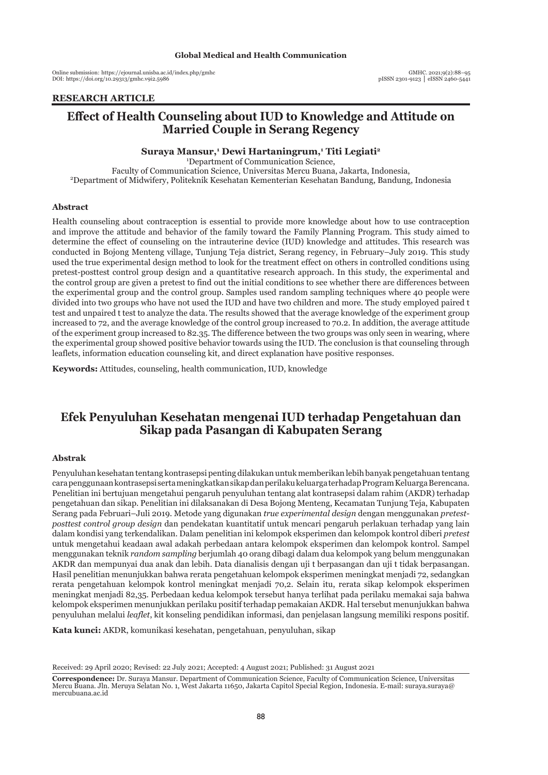Online submission: https://ejournal.unisba.ac.id/index.php/gmhc DOI: pISSN 2301-9123 │ eISSN 2460-5441 https://doi.org/10.29313/gmhc.v9i2.5986

## **RESEARCH ARTICLE**

# **Effect of Health Counseling about IUD to Knowledge and Attitude on Married Couple in Serang Regency**

#### **Suraya Mansur,<sup>1</sup> Dewi Hartaningrum,<sup>1</sup> Titi Legiati<sup>2</sup>**

1 Department of Communication Science, Faculty of Communication Science, Universitas Mercu Buana, Jakarta, Indonesia, 2 Department of Midwifery, Politeknik Kesehatan Kementerian Kesehatan Bandung, Bandung, Indonesia

#### **Abstract**

Health counseling about contraception is essential to provide more knowledge about how to use contraception and improve the attitude and behavior of the family toward the Family Planning Program. This study aimed to determine the effect of counseling on the intrauterine device (IUD) knowledge and attitudes. This research was conducted in Bojong Menteng village, Tunjung Teja district, Serang regency, in February–July 2019. This study used the true experimental design method to look for the treatment effect on others in controlled conditions using pretest-posttest control group design and a quantitative research approach. In this study, the experimental and the control group are given a pretest to find out the initial conditions to see whether there are differences between the experimental group and the control group. Samples used random sampling techniques where 40 people were divided into two groups who have not used the IUD and have two children and more. The study employed paired t test and unpaired t test to analyze the data. The results showed that the average knowledge of the experiment group increased to 72, and the average knowledge of the control group increased to 70.2. In addition, the average attitude of the experiment group increased to 82.35. The difference between the two groups was only seen in wearing, where the experimental group showed positive behavior towards using the IUD. The conclusion is that counseling through leaflets, information education counseling kit, and direct explanation have positive responses.

**Keywords:** Attitudes, counseling, health communication, IUD, knowledge

# **Efek Penyuluhan Kesehatan mengenai IUD terhadap Pengetahuan dan Sikap pada Pasangan di Kabupaten Serang**

### **Abstrak**

Penyuluhan kesehatan tentang kontrasepsi penting dilakukan untuk memberikan lebih banyak pengetahuan tentang cara penggunaan kontrasepsi serta meningkatkan sikap dan perilaku keluarga terhadap Program Keluarga Berencana. Penelitian ini bertujuan mengetahui pengaruh penyuluhan tentang alat kontrasepsi dalam rahim (AKDR) terhadap pengetahuan dan sikap. Penelitian ini dilaksanakan di Desa Bojong Menteng, Kecamatan Tunjung Teja, Kabupaten Serang pada Februari–Juli 2019. Metode yang digunakan *true experimental design* dengan menggunakan *pretestposttest control group design* dan pendekatan kuantitatif untuk mencari pengaruh perlakuan terhadap yang lain dalam kondisi yang terkendalikan. Dalam penelitian ini kelompok eksperimen dan kelompok kontrol diberi *pretest* untuk mengetahui keadaan awal adakah perbedaan antara kelompok eksperimen dan kelompok kontrol. Sampel menggunakan teknik *random sampling* berjumlah 40 orang dibagi dalam dua kelompok yang belum menggunakan AKDR dan mempunyai dua anak dan lebih. Data dianalisis dengan uji t berpasangan dan uji t tidak berpasangan. Hasil penelitian menunjukkan bahwa rerata pengetahuan kelompok eksperimen meningkat menjadi 72, sedangkan rerata pengetahuan kelompok kontrol meningkat menjadi 70,2. Selain itu, rerata sikap kelompok eksperimen meningkat menjadi 82,35. Perbedaan kedua kelompok tersebut hanya terlihat pada perilaku memakai saja bahwa kelompok eksperimen menunjukkan perilaku positif terhadap pemakaian AKDR. Hal tersebut menunjukkan bahwa penyuluhan melalui *leaflet*, kit konseling pendidikan informasi, dan penjelasan langsung memiliki respons positif.

**Kata kunci:** AKDR, komunikasi kesehatan, pengetahuan, penyuluhan, sikap

Received: 29 April 2020; Revised: 22 July 2021; Accepted: 4 August 2021; Published: 31 August 2021

**Correspondence:** Dr. Suraya Mansur. Department of Communication Science, Faculty of Communication Science, Universitas Mercu Buana. Jln. Meruya Selatan No. 1, West Jakarta 11650, Jakarta Capitol Special Region, Indonesia. E-mail: suraya.suraya@ mercubuana.ac.id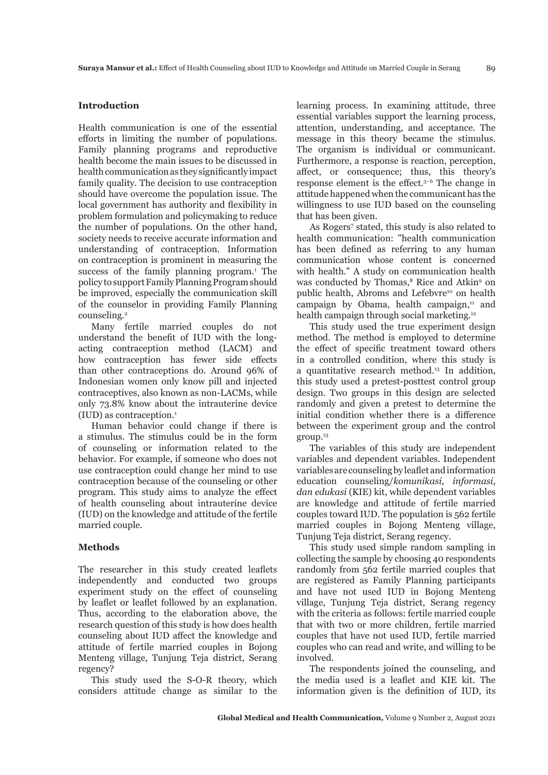## **Introduction**

Health communication is one of the essential efforts in limiting the number of populations. Family planning programs and reproductive health become the main issues to be discussed in health communication as they significantly impact family quality. The decision to use contraception should have overcome the population issue. The local government has authority and flexibility in problem formulation and policymaking to reduce the number of populations. On the other hand, society needs to receive accurate information and understanding of contraception. Information on contraception is prominent in measuring the success of the family planning program.<sup>1</sup> The policy to support Family Planning Program should be improved, especially the communication skill of the counselor in providing Family Planning counseling.<sup>2</sup>

Many fertile married couples do not understand the benefit of IUD with the longacting contraception method (LACM) and how contraception has fewer side effects than other contraceptions do. Around 96% of Indonesian women only know pill and injected contraceptives, also known as non-LACMs, while only 73.8% know about the intrauterine device (IUD) as contraception.1

Human behavior could change if there is a stimulus. The stimulus could be in the form of counseling or information related to the behavior. For example, if someone who does not use contraception could change her mind to use contraception because of the counseling or other program. This study aims to analyze the effect of health counseling about intrauterine device (IUD) on the knowledge and attitude of the fertile married couple.

### **Methods**

The researcher in this study created leaflets independently and conducted two groups experiment study on the effect of counseling by leaflet or leaflet followed by an explanation. Thus, according to the elaboration above, the research question of this study is how does health counseling about IUD affect the knowledge and attitude of fertile married couples in Bojong Menteng village, Tunjung Teja district, Serang regency?

This study used the S-O-R theory, which considers attitude change as similar to the learning process. In examining attitude, three essential variables support the learning process, attention, understanding, and acceptance. The message in this theory became the stimulus. The organism is individual or communicant. Furthermore, a response is reaction, perception, affect, or consequence; thus, this theory's response element is the effect.3–6 The change in attitude happened when the communicant has the willingness to use IUD based on the counseling that has been given.

As Rogers<sup>7</sup> stated, this study is also related to health communication: "health communication has been defined as referring to any human communication whose content is concerned with health." A study on communication health was conducted by Thomas,<sup>8</sup> Rice and Atkin<sup>9</sup> on public health, Abroms and Lefebvre<sup>10</sup> on health campaign by Obama, health campaign, $11$  and health campaign through social marketing.<sup>12</sup>

This study used the true experiment design method. The method is employed to determine the effect of specific treatment toward others in a controlled condition, where this study is a quantitative research method.13 In addition, this study used a pretest-posttest control group design. Two groups in this design are selected randomly and given a pretest to determine the initial condition whether there is a difference between the experiment group and the control group.13

The variables of this study are independent variables and dependent variables. Independent variables are counseling by leaflet and information education counseling/*komunikasi, informasi, dan edukasi* (KIE) kit, while dependent variables are knowledge and attitude of fertile married couples toward IUD. The population is 562 fertile married couples in Bojong Menteng village, Tunjung Teja district, Serang regency.

This study used simple random sampling in collecting the sample by choosing 40 respondents randomly from 562 fertile married couples that are registered as Family Planning participants and have not used IUD in Bojong Menteng village, Tunjung Teja district, Serang regency with the criteria as follows: fertile married couple that with two or more children, fertile married couples that have not used IUD, fertile married couples who can read and write, and willing to be involved.

The respondents joined the counseling, and the media used is a leaflet and KIE kit. The information given is the definition of IUD, its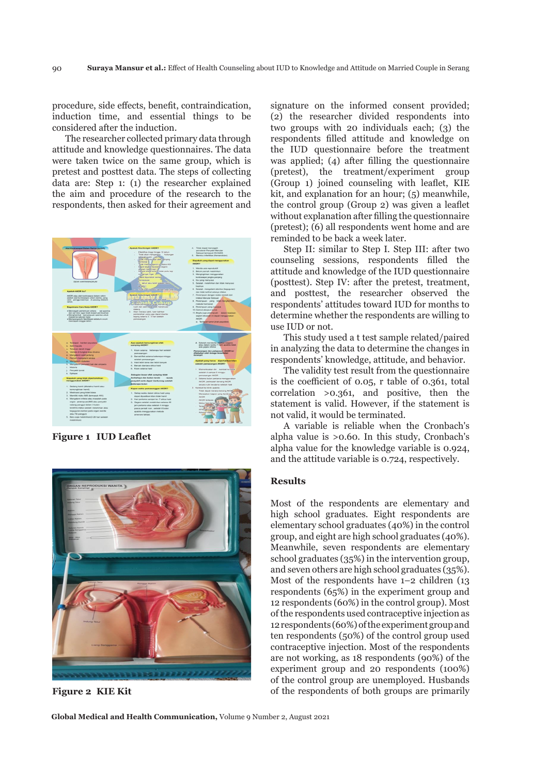procedure, side effects, benefit, contraindication, induction time, and essential things to be considered after the induction.

The researcher collected primary data through attitude and knowledge questionnaires. The data were taken twice on the same group, which is pretest and posttest data. The steps of collecting data are: Step 1: (1) the researcher explained the aim and procedure of the research to the respondents, then asked for their agreement and



**Figure 1 IUD Leaflet**



**Figure 2 KIE Kit**

signature on the informed consent provided; (2) the researcher divided respondents into two groups with 20 individuals each; (3) the respondents filled attitude and knowledge on the IUD questionnaire before the treatment was applied; (4) after filling the questionnaire (pretest), the treatment/experiment group (Group 1) joined counseling with leaflet, KIE kit, and explanation for an hour; (5) meanwhile, the control group (Group 2) was given a leaflet without explanation after filling the questionnaire (pretest); (6) all respondents went home and are reminded to be back a week later.

Step II: similar to Step I. Step III: after two counseling sessions, respondents filled the attitude and knowledge of the IUD questionnaire (posttest). Step IV: after the pretest, treatment, and posttest, the researcher observed the respondents' attitudes toward IUD for months to determine whether the respondents are willing to use IUD or not.

This study used a t test sample related/paired in analyzing the data to determine the changes in respondents' knowledge, attitude, and behavior.

The validity test result from the questionnaire is the coefficient of 0.05, r table of 0.361, total correlation >0.361, and positive, then the statement is valid. However, if the statement is not valid, it would be terminated.

A variable is reliable when the Cronbach's alpha value is >0.60. In this study, Cronbach's alpha value for the knowledge variable is 0.924, and the attitude variable is 0.724, respectively.

#### **Results**

Most of the respondents are elementary and high school graduates. Eight respondents are elementary school graduates (40%) in the control group, and eight are high school graduates (40%). Meanwhile, seven respondents are elementary school graduates (35%) in the intervention group, and seven others are high school graduates (35%). Most of the respondents have 1–2 children (13 respondents (65%) in the experiment group and 12 respondents (60%) in the control group). Most of the respondents used contraceptive injection as 12 respondents (60%) of the experiment group and ten respondents (50%) of the control group used contraceptive injection. Most of the respondents are not working, as 18 respondents (90%) of the experiment group and 20 respondents (100%) of the control group are unemployed. Husbands of the respondents of both groups are primarily

**Global Medical and Health Communication,** Volume 9 Number 2, August 2021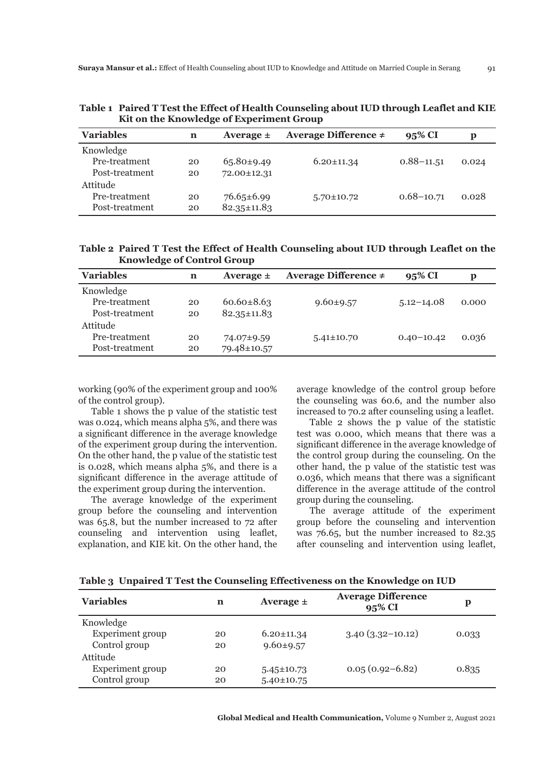| KIT ON the Knowledge of Experiment of oup |    |                   |                           |                |       |
|-------------------------------------------|----|-------------------|---------------------------|----------------|-------|
| <b>Variables</b>                          | n  | Average $\pm$     | Average Difference $\neq$ | 95% CI         | р     |
| Knowledge                                 |    |                   |                           |                |       |
| Pre-treatment                             | 20 | $65.80\pm9.49$    | $6.20 \pm 11.34$          | $0.88 - 11.51$ | 0.024 |
| Post-treatment                            | 20 | 72.00±12.31       |                           |                |       |
| Attitude                                  |    |                   |                           |                |       |
| Pre-treatment                             | 20 | $76.65 \pm 6.99$  | $5.70 \pm 10.72$          | $0.68 - 10.71$ | 0.028 |
| Post-treatment                            | 20 | $82.35 \pm 11.83$ |                           |                |       |

**Table 1 Paired T Test the Effect of Health Counseling about IUD through Leaflet and KIE Kit on the Knowledge of Experiment Group**

**Table 2 Paired T Test the Effect of Health Counseling about IUD through Leaflet on the Knowledge of Control Group**

| <b>Variables</b> | n  | Average $\pm$     | Average Difference $\neq$ | 95% CI         | р     |
|------------------|----|-------------------|---------------------------|----------------|-------|
| Knowledge        |    |                   |                           |                |       |
| Pre-treatment    | 20 | $60.60 \pm 8.63$  | $9.60 \pm 9.57$           | $5.12 - 14.08$ | 0.000 |
| Post-treatment   | 20 | $82.35 \pm 11.83$ |                           |                |       |
| Attitude         |    |                   |                           |                |       |
| Pre-treatment    | 20 | 74.07±9.59        | $5.41 \pm 10.70$          | $0.40 - 10.42$ | 0.036 |
| Post-treatment   | 20 | 79.48±10.57       |                           |                |       |

working (90% of the experiment group and 100% of the control group).

Table 1 shows the p value of the statistic test was 0.024, which means alpha 5%, and there was a significant difference in the average knowledge of the experiment group during the intervention. On the other hand, the p value of the statistic test is 0.028, which means alpha 5%, and there is a significant difference in the average attitude of the experiment group during the intervention.

The average knowledge of the experiment group before the counseling and intervention was 65.8, but the number increased to 72 after counseling and intervention using leaflet, explanation, and KIE kit. On the other hand, the

average knowledge of the control group before the counseling was 60.6, and the number also increased to 70.2 after counseling using a leaflet.

Table 2 shows the p value of the statistic test was 0.000, which means that there was a significant difference in the average knowledge of the control group during the counseling. On the other hand, the p value of the statistic test was 0.036, which means that there was a significant difference in the average attitude of the control group during the counseling.

The average attitude of the experiment group before the counseling and intervention was 76.65, but the number increased to 82.35 after counseling and intervention using leaflet,

| <b>Variables</b>        | n  | Average $\pm$    | <b>Average Difference</b><br>95% CI | р     |
|-------------------------|----|------------------|-------------------------------------|-------|
| Knowledge               |    |                  |                                     |       |
| <b>Experiment</b> group | 20 | $6.20 \pm 11.34$ | $3.40(3.32-10.12)$                  | 0.033 |
| Control group           | 20 | $9.60 \pm 9.57$  |                                     |       |
| Attitude                |    |                  |                                     |       |
| <b>Experiment</b> group | 20 | $5.45 \pm 10.73$ | $0.05(0.92 - 6.82)$                 | 0.835 |
| Control group           | 20 | $5.40 \pm 10.75$ |                                     |       |

**Table 3 Unpaired T Test the Counseling Effectiveness on the Knowledge on IUD**

**Global Medical and Health Communication,** Volume 9 Number 2, August 2021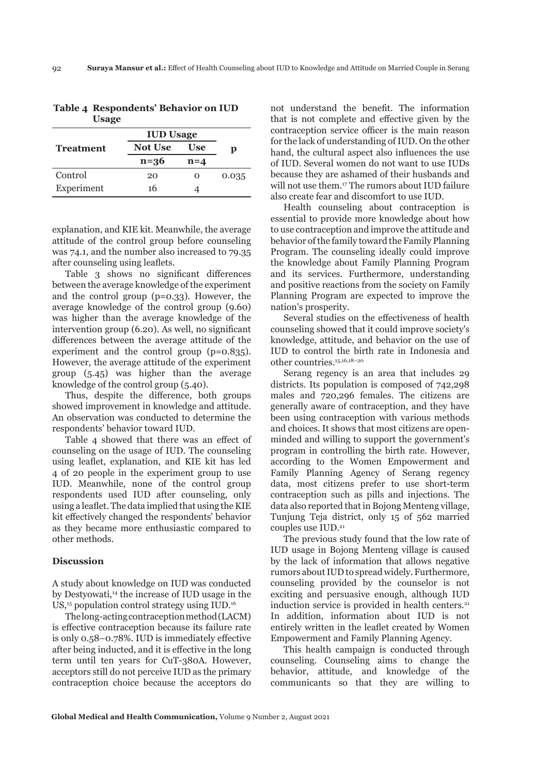| <b>Not Use</b> | Use     | D                |
|----------------|---------|------------------|
| $n = 36$       | $n = 4$ |                  |
| 20             | Ω       | 0.035            |
| 16             |         |                  |
|                |         | <b>IUD Usage</b> |

**Table 4 Respondents' Behavior on IUD Usage**

explanation, and KIE kit. Meanwhile, the average attitude of the control group before counseling was 74.1, and the number also increased to 79.35 after counseling using leaflets.

Table 3 shows no significant differences between the average knowledge of the experiment and the control group (p=0.33). However, the average knowledge of the control group (9.60) was higher than the average knowledge of the intervention group (6.20). As well, no significant differences between the average attitude of the experiment and the control group (p=0.835). However, the average attitude of the experiment group (5.45) was higher than the average knowledge of the control group (5.40).

Thus, despite the difference, both groups showed improvement in knowledge and attitude. An observation was conducted to determine the respondents' behavior toward IUD.

Table 4 showed that there was an effect of counseling on the usage of IUD. The counseling using leaflet, explanation, and KIE kit has led 4 of 20 people in the experiment group to use IUD. Meanwhile, none of the control group respondents used IUD after counseling, only using a leaflet. The data implied that using the KIE kit effectively changed the respondents' behavior as they became more enthusiastic compared to other methods.

#### **Discussion**

A study about knowledge on IUD was conducted by Destyowati,<sup>14</sup> the increase of IUD usage in the US,<sup>15</sup> population control strategy using IUD.<sup>16</sup>

The long-acting contraception method (LACM) is effective contraception because its failure rate is only 0.58–0.78%. IUD is immediately effective after being inducted, and it is effective in the long term until ten years for CuT-380A. However, acceptors still do not perceive IUD as the primary contraception choice because the acceptors do not understand the benefit. The information that is not complete and effective given by the contraception service officer is the main reason for the lack of understanding of IUD. On the other hand, the cultural aspect also influences the use of IUD. Several women do not want to use IUDs because they are ashamed of their husbands and will not use them.<sup>17</sup> The rumors about IUD failure also create fear and discomfort to use IUD.

Health counseling about contraception is essential to provide more knowledge about how to use contraception and improve the attitude and behavior of the family toward the Family Planning Program. The counseling ideally could improve the knowledge about Family Planning Program and its services. Furthermore, understanding and positive reactions from the society on Family Planning Program are expected to improve the nation's prosperity.

Several studies on the effectiveness of health counseling showed that it could improve society's knowledge, attitude, and behavior on the use of IUD to control the birth rate in Indonesia and other countries.15,16,18–20

Serang regency is an area that includes 29 districts. Its population is composed of 742,298 males and 720,296 females. The citizens are generally aware of contraception, and they have been using contraception with various methods and choices. It shows that most citizens are openminded and willing to support the government's program in controlling the birth rate. However, according to the Women Empowerment and Family Planning Agency of Serang regency data, most citizens prefer to use short-term contraception such as pills and injections. The data also reported that in Bojong Menteng village, Tunjung Teja district, only 15 of 562 married couples use IUD.<sup>21</sup>

The previous study found that the low rate of IUD usage in Bojong Menteng village is caused by the lack of information that allows negative rumors about IUD to spread widely. Furthermore, counseling provided by the counselor is not exciting and persuasive enough, although IUD induction service is provided in health centers.<sup>21</sup> In addition, information about IUD is not entirely written in the leaflet created by Women Empowerment and Family Planning Agency.

This health campaign is conducted through counseling. Counseling aims to change the behavior, attitude, and knowledge of the communicants so that they are willing to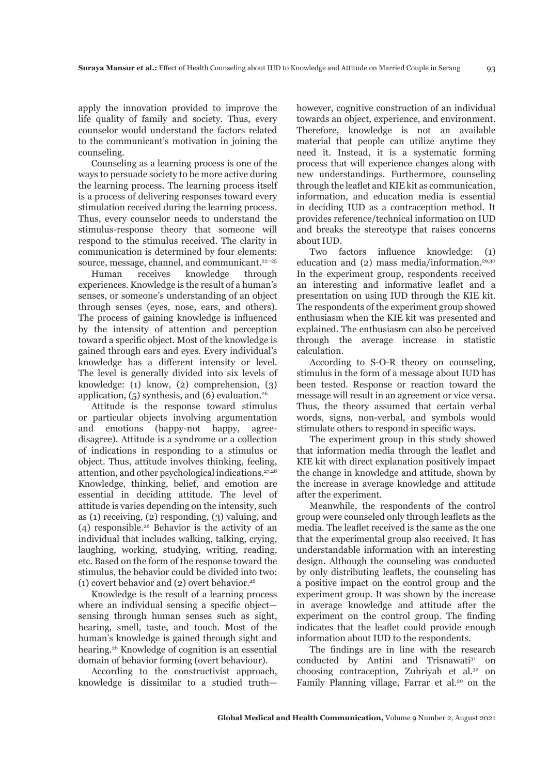apply the innovation provided to improve the life quality of family and society. Thus, every counselor would understand the factors related to the communicant's motivation in joining the counseling.

Counseling as a learning process is one of the ways to persuade society to be more active during the learning process. The learning process itself is a process of delivering responses toward every stimulation received during the learning process. Thus, every counselor needs to understand the stimulus-response theory that someone will respond to the stimulus received. The clarity in communication is determined by four elements: source, message, channel, and communicant.<sup>22-25</sup>

Human receives knowledge through experiences. Knowledge is the result of a human's senses, or someone's understanding of an object through senses (eyes, nose, ears, and others). The process of gaining knowledge is influenced by the intensity of attention and perception toward a specific object. Most of the knowledge is gained through ears and eyes. Every individual's knowledge has a different intensity or level. The level is generally divided into six levels of knowledge: (1) know, (2) comprehension, (3) application,  $(5)$  synthesis, and  $(6)$  evaluation.<sup>26</sup>

Attitude is the response toward stimulus or particular objects involving argumentation and emotions (happy-not happy, agreedisagree). Attitude is a syndrome or a collection of indications in responding to a stimulus or object. Thus, attitude involves thinking, feeling, attention, and other psychological indications.<sup>27,28</sup> Knowledge, thinking, belief, and emotion are essential in deciding attitude. The level of attitude is varies depending on the intensity, such as (1) receiving, (2) responding, (3) valuing, and (4) responsible.26 Behavior is the activity of an individual that includes walking, talking, crying, laughing, working, studying, writing, reading, etc. Based on the form of the response toward the stimulus, the behavior could be divided into two: (1) covert behavior and (2) overt behavior.<sup>26</sup>

Knowledge is the result of a learning process where an individual sensing a specific object sensing through human senses such as sight, hearing, smell, taste, and touch. Most of the human's knowledge is gained through sight and hearing.<sup>26</sup> Knowledge of cognition is an essential domain of behavior forming (overt behaviour).

According to the constructivist approach, knowledge is dissimilar to a studied truthhowever, cognitive construction of an individual towards an object, experience, and environment. Therefore, knowledge is not an available material that people can utilize anytime they need it. Instead, it is a systematic forming process that will experience changes along with new understandings. Furthermore, counseling through the leaflet and KIE kit as communication, information, and education media is essential in deciding IUD as a contraception method. It provides reference/technical information on IUD and breaks the stereotype that raises concerns about IUD.

Two factors influence knowledge: (1) education and (2) mass media/information.29,30 In the experiment group, respondents received an interesting and informative leaflet and a presentation on using IUD through the KIE kit. The respondents of the experiment group showed enthusiasm when the KIE kit was presented and explained. The enthusiasm can also be perceived through the average increase in statistic calculation.

According to S-O-R theory on counseling, stimulus in the form of a message about IUD has been tested. Response or reaction toward the message will result in an agreement or vice versa. Thus, the theory assumed that certain verbal words, signs, non-verbal, and symbols would stimulate others to respond in specific ways.

The experiment group in this study showed that information media through the leaflet and KIE kit with direct explanation positively impact the change in knowledge and attitude, shown by the increase in average knowledge and attitude after the experiment.

Meanwhile, the respondents of the control group were counseled only through leaflets as the media. The leaflet received is the same as the one that the experimental group also received. It has understandable information with an interesting design. Although the counseling was conducted by only distributing leaflets, the counseling has a positive impact on the control group and the experiment group. It was shown by the increase in average knowledge and attitude after the experiment on the control group. The finding indicates that the leaflet could provide enough information about IUD to the respondents.

The findings are in line with the research conducted by Antini and Trisnawati<sup>31</sup> on choosing contraception, Zuhriyah et al.32 on Family Planning village, Farrar et al.<sup>20</sup> on the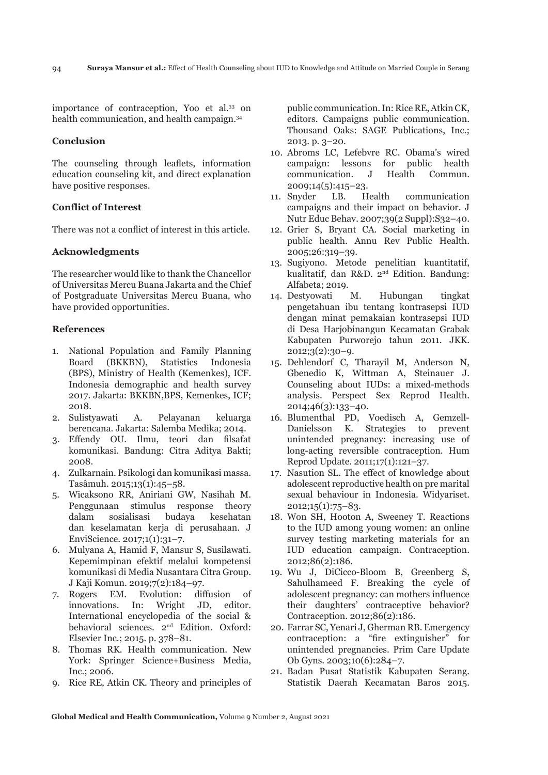importance of contraception, Yoo et al.33 on health communication, and health campaign.<sup>34</sup>

## **Conclusion**

The counseling through leaflets, information education counseling kit, and direct explanation have positive responses.

# **Conflict of Interest**

There was not a conflict of interest in this article.

# **Acknowledgments**

The researcher would like to thank the Chancellor of Universitas Mercu Buana Jakarta and the Chief of Postgraduate Universitas Mercu Buana, who have provided opportunities.

## **References**

- 1. National Population and Family Planning Board (BKKBN), Statistics Indonesia (BPS), Ministry of Health (Kemenkes), ICF. Indonesia demographic and health survey 2017. Jakarta: BKKBN,BPS, Kemenkes, ICF; 2018.
- 2. Sulistyawati A. Pelayanan keluarga berencana. Jakarta: Salemba Medika; 2014.
- 3. Effendy OU. Ilmu, teori dan filsafat komunikasi. Bandung: Citra Aditya Bakti; 2008.
- 4. Zulkarnain. Psikologi dan komunikasi massa. Tasâmuh. 2015;13(1):45–58.
- 5. Wicaksono RR, Aniriani GW, Nasihah M. Penggunaan stimulus response theory dalam sosialisasi budaya kesehatan dan keselamatan kerja di perusahaan. J EnviScience. 2017;1(1):31–7.
- 6. Mulyana A, Hamid F, Mansur S, Susilawati. Kepemimpinan efektif melalui kompetensi komunikasi di Media Nusantara Citra Group. J Kaji Komun. 2019;7(2):184–97.
- 7. Rogers EM. Evolution: diffusion of innovations. In: Wright JD, editor. International encyclopedia of the social & behavioral sciences. 2<sup>nd</sup> Edition. Oxford: Elsevier Inc.; 2015. p. 378–81.
- 8. Thomas RK. Health communication. New York: Springer Science+Business Media, Inc.; 2006.
- 9. Rice RE, Atkin CK. Theory and principles of

public communication. In: Rice RE, Atkin CK, editors. Campaigns public communication. Thousand Oaks: SAGE Publications, Inc.; 2013. p. 3–20.

- 10. Abroms LC, Lefebvre RC. Obama's wired campaign: lessons for public health communication. J Health Commun. 2009;14(5):415–23.
- 11. Snyder LB. Health communication campaigns and their impact on behavior. J Nutr Educ Behav. 2007;39(2 Suppl):S32–40.
- 12. Grier S, Bryant CA. Social marketing in public health. Annu Rev Public Health. 2005;26:319–39.
- 13. Sugiyono. Metode penelitian kuantitatif, kualitatif, dan R&D. 2nd Edition. Bandung: Alfabeta; 2019.
- 14. Destyowati M. Hubungan tingkat pengetahuan ibu tentang kontrasepsi IUD dengan minat pemakaian kontrasepsi IUD di Desa Harjobinangun Kecamatan Grabak Kabupaten Purworejo tahun 2011. JKK. 2012;3(2):30–9.
- 15. Dehlendorf C, Tharayil M, Anderson N, Gbenedio K, Wittman A, Steinauer J. Counseling about IUDs: a mixed-methods analysis. Perspect Sex Reprod Health. 2014;46(3):133–40.
- 16. Blumenthal PD, Voedisch A, Gemzell-Danielsson K. Strategies to prevent unintended pregnancy: increasing use of long-acting reversible contraception. Hum Reprod Update. 2011;17(1):121–37.
- 17. Nasution SL. The effect of knowledge about adolescent reproductive health on pre marital sexual behaviour in Indonesia. Widyariset.  $2012;15(1):75-83.$
- 18. Won SH, Hooton A, Sweeney T. Reactions to the IUD among young women: an online survey testing marketing materials for an IUD education campaign. Contraception. 2012;86(2):186.
- 19. Wu J, DiCicco-Bloom B, Greenberg S, Sahulhameed F. Breaking the cycle of adolescent pregnancy: can mothers influence their daughters' contraceptive behavior? Contraception. 2012;86(2):186.
- 20. Farrar SC, Yenari J, Gherman RB. Emergency contraception: a "fire extinguisher" for unintended pregnancies. Prim Care Update Ob Gyns. 2003;10(6):284–7.
- 21. Badan Pusat Statistik Kabupaten Serang. Statistik Daerah Kecamatan Baros 2015.